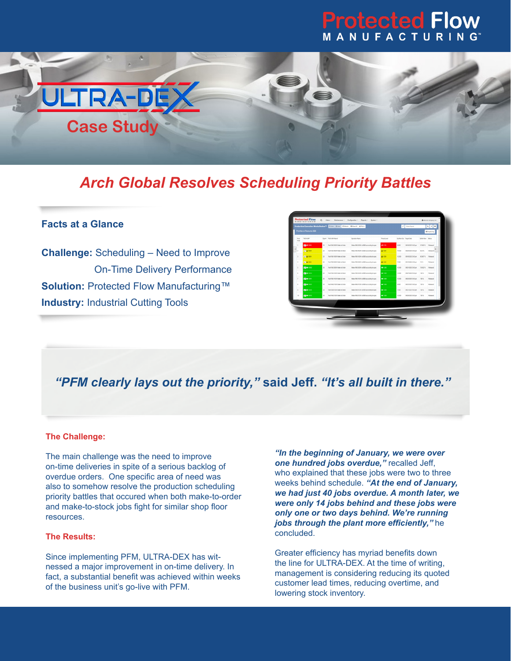# **Protected Flow** MANUFACTURING



# *Arch Global Resolves Scheduling Priority Battles*

#### **Facts at a Glance**

**Challenge:** Scheduling – Need to Improve On-Time Delivery Performance **Solution: Protected Flow Manufacturing™ Industry: Industrial Cutting Tools** 

| Priorities at Resource 888 |                    |                 |                                     |                                            |                    |                        |                    |                          | III Disputching              |  |
|----------------------------|--------------------|-----------------|-------------------------------------|--------------------------------------------|--------------------|------------------------|--------------------|--------------------------|------------------------------|--|
| that<br>Sent               | *Wörkstor          | Onard           | "WONTER Name"                       | <b>Counties Name</b>                       | <b>Tyred Level</b> | Op Bam Dur Target Date |                    | <b>Buffer Dam Bullet</b> |                              |  |
| $\overline{a}$             | <b>P3 4</b> 1000   | w.              | Port EAS 20001 Make to Order        | Make FAB 20005 at BBB according to spec.   | <b>A</b> im        | sono                   | 06/50/2023 5:00 pm | 57,662%                  | Grimmad                      |  |
| z                          | <b>A 2004</b>      | w               | Part AAS-40001 Make to Stock        | Make FAB-40000 at 888 according to spec    | A 1500             | 14,000                 | 09/20/2023 5:00 pm | 623%                     | <b>Released</b>              |  |
| 3                          | <b>2 A 1001</b>    | $\mathbf{z}$    | Part FAB 10001 Make to Order        | Make FAB-10001 at BBB accounting to spec.  | A 1500             | 12.000                 | 05/52033 5:00 pm   | 66.667.%                 | Related                      |  |
| ×                          | 28,40000           | 30 <sub>1</sub> | Fall FAR 20021 Make to Night        | Make FAB-30001 at BBB accounting to spec.  | A 1.333            | 7,000                  | 09/14/2023 3.00 pm | <b>DN</b>                | Rebound                      |  |
| s                          | <b>P3 IR 1003</b>  | 30 <sub>1</sub> | Part FAR 20001 Make to Order        | Make FAB-30001 at BBB accounting to spec   | <b>m</b> 126       | 12000                  | 09/21/2023 5:00 pm | 79.032 %                 | <b>Reinward</b>              |  |
| ×                          | <b>P3</b> m 10014  | $^{20}$         | For Child #1201 Make to River       | Make FAR-41001 at \$550 accounting to spot | #1000              | 14.000                 | 062700235.00pm     | 133%                     | <b><i><u>Rebound</u></i></b> |  |
| z                          | <b>PS IN 10011</b> | $\mathfrak{D}$  | Part FAB 19301 Make to Order        | Make FAB-19301 at BBB according to spec.   | #1000              | 12:000                 | 09/33/2023 5:00 pm | 100%                     | Related                      |  |
| s.                         | <b>DE 120</b>      | 30 <sub>1</sub> | Part EASL21001 Make to Order        | Make FAR-21005 at RRR accounting to spec.  | #100               | 9.000                  | 06232023 5 00 pm   | 133%                     | Released                     |  |
| ×                          | <b>ZEM 1005</b>    | n               | Part FAD-51201 Make to Sexot        | Make FAB-51001 at DDB-accounting to spec.  | 1000               | 7.000                  | 09/21/2023 5:00 pm | 120.5                    | Revenue                      |  |
| 10                         | <b>P3 IN 10013</b> | 30              | <b>Part Edit 18301 Midwin Order</b> | Make FAB-31001 at 888 according to spec.   | $m + \alpha m$     | 12.000                 | 09/35/2025 5:00 pm | 100%                     | Released                     |  |
|                            |                    |                 |                                     |                                            |                    |                        |                    |                          |                              |  |
|                            |                    |                 |                                     |                                            |                    |                        |                    |                          |                              |  |

### *"PFM clearly lays out the priority,"* **said Jeff.** *"It's all built in there."*

#### **The Challenge:**

The main challenge was the need to improve on-time deliveries in spite of a serious backlog of overdue orders. One specific area of need was also to somehow resolve the production scheduling priority battles that occured when both make-to-order and make-to-stock jobs fight for similar shop floor resources.

#### **The Results:**

Since implementing PFM, ULTRA-DEX has witnessed a major improvement in on-time delivery. In fact, a substantial benefit was achieved within weeks of the business unit's go-live with PFM.

*"In the beginning of January, we were over one hundred jobs overdue,"* recalled Jeff, who explained that these jobs were two to three weeks behind schedule. *"At the end of January, we had just 40 jobs overdue. A month later, we were only 14 jobs behind and these jobs were only one or two days behind. We're running jobs through the plant more efficiently,"* he concluded.

Greater efficiency has myriad benefits down the line for ULTRA-DEX. At the time of writing, management is considering reducing its quoted customer lead times, reducing overtime, and lowering stock inventory.